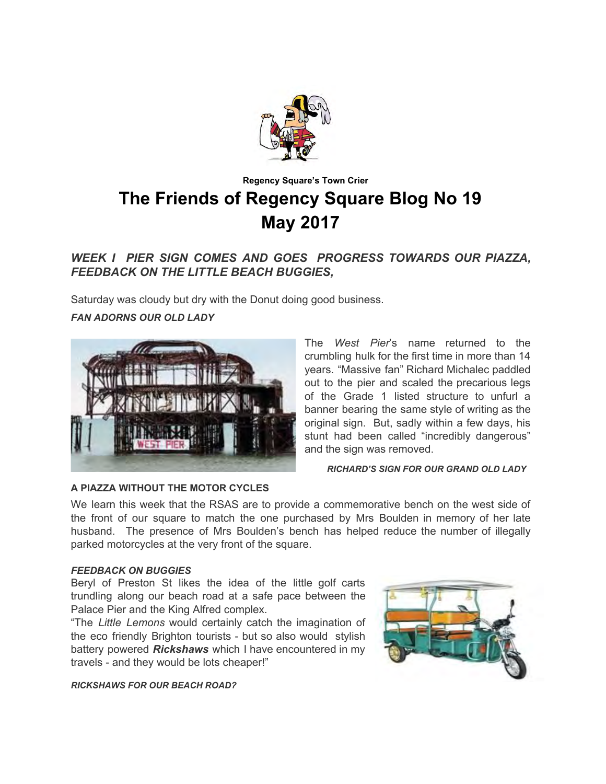

# **Regency Square's Town Crier The Friends of Regency Square Blog No 19 May 2017**

## *WEEK I PIER SIGN COMES AND GOES PROGRESS TOWARDS OUR PIAZZA, FEEDBACK ON THE LITTLE BEACH BUGGIES,*

Saturday was cloudy but dry with the Donut doing good business.

## *FAN ADORNS OUR OLD LADY*



The *West Pier*'s name returned to the crumbling hulk for the first time in more than 14 years. "Massive fan" Richard Michalec paddled out to the pier and scaled the precarious legs of the Grade 1 listed structure to unfurl a banner bearing the same style of writing as the original sign. But, sadly within a few days, his stunt had been called "incredibly dangerous" and the sign was removed.

 *RICHARD'S SIGN FOR OUR GRAND OLD LADY* 

#### **A PIAZZA WITHOUT THE MOTOR CYCLES**

We learn this week that the RSAS are to provide a commemorative bench on the west side of the front of our square to match the one purchased by Mrs Boulden in memory of her late husband. The presence of Mrs Boulden's bench has helped reduce the number of illegally parked motorcycles at the very front of the square.

#### *FEEDBACK ON BUGGIES*

Beryl of Preston St likes the idea of the little golf carts trundling along our beach road at a safe pace between the Palace Pier and the King Alfred complex.

"The *Little Lemons* would certainly catch the imagination of the eco friendly Brighton tourists - but so also would stylish battery powered *Rickshaws* which I have encountered in my travels - and they would be lots cheaper!"



*RICKSHAWS FOR OUR BEACH ROAD?*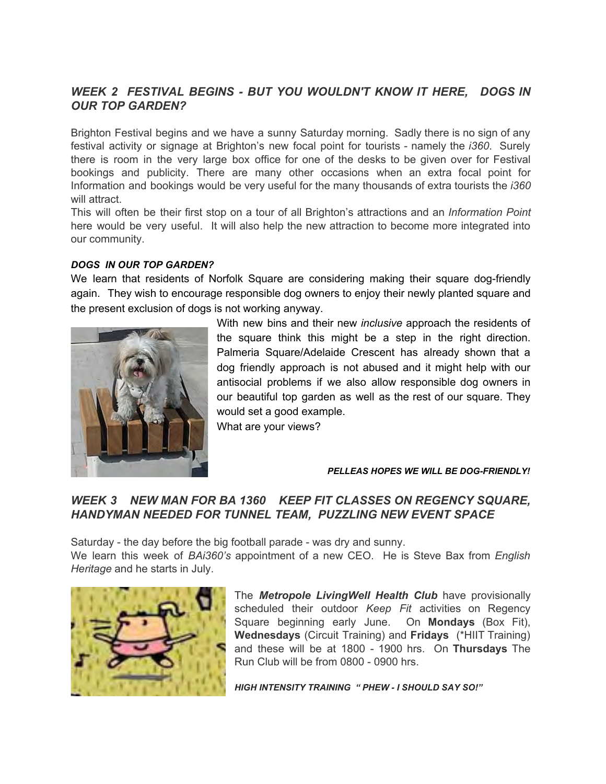## *WEEK 2 FESTIVAL BEGINS - BUT YOU WOULDN'T KNOW IT HERE, DOGS IN OUR TOP GARDEN?*

Brighton Festival begins and we have a sunny Saturday morning. Sadly there is no sign of any festival activity or signage at Brighton's new focal point for tourists - namely the *i360*. Surely there is room in the very large box office for one of the desks to be given over for Festival bookings and publicity. There are many other occasions when an extra focal point for Information and bookings would be very useful for the many thousands of extra tourists the *i360* will attract

This will often be their first stop on a tour of all Brighton's attractions and an *Information Point* here would be very useful. It will also help the new attraction to become more integrated into our community.

### *DOGS IN OUR TOP GARDEN?*

We learn that residents of Norfolk Square are considering making their square dog-friendly again. They wish to encourage responsible dog owners to enjoy their newly planted square and the present exclusion of dogs is not working anyway.



With new bins and their new *inclusive* approach the residents of the square think this might be a step in the right direction. Palmeria Square/Adelaide Crescent has already shown that a dog friendly approach is not abused and it might help with our antisocial problems if we also allow responsible dog owners in our beautiful top garden as well as the rest of our square. They would set a good example.

What are your views?

#### *PELLEAS HOPES WE WILL BE DOG-FRIENDLY!*

## *WEEK 3 NEW MAN FOR BA 1360 KEEP FIT CLASSES ON REGENCY SQUARE, HANDYMAN NEEDED FOR TUNNEL TEAM, PUZZLING NEW EVENT SPACE*

Saturday - the day before the big football parade - was dry and sunny.

We learn this week of *BAi360's* appointment of a new CEO. He is Steve Bax from *English Heritage* and he starts in July.



The *Metropole LivingWell Health Club* have provisionally scheduled their outdoor *Keep Fit* activities on Regency Square beginning early June. On **Mondays** (Box Fit), **Wednesdays** (Circuit Training) and **Fridays** (\*HIIT Training) and these will be at 1800 - 1900 hrs. On **Thursdays** The Run Club will be from 0800 - 0900 hrs.

*HIGH INTENSITY TRAINING " PHEW - I SHOULD SAY SO!"*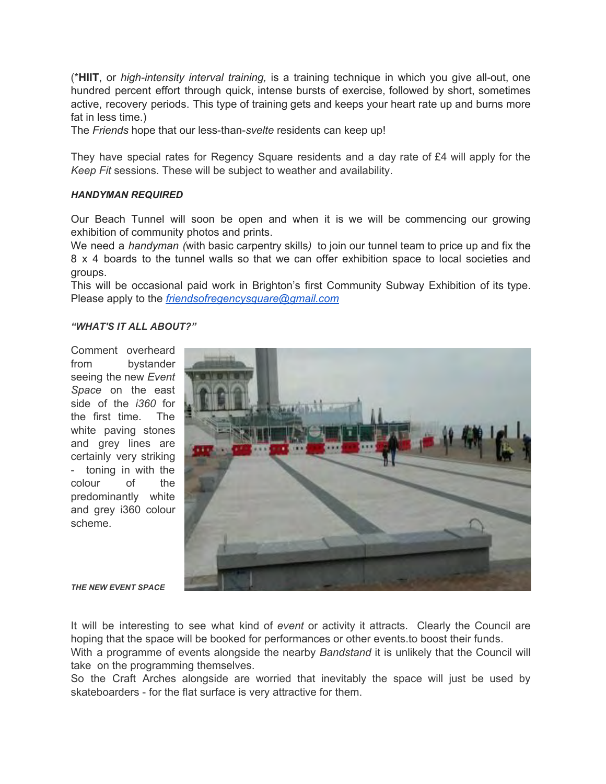(\***HIIT**, or *high-intensity interval training,* is a training technique in which you give all-out, one hundred percent effort through quick, intense bursts of exercise, followed by short, sometimes active, recovery periods. This type of training gets and keeps your heart rate up and burns more fat in less time.)

The *Friends* hope that our less-than-*svelte* residents can keep up!

They have special rates for Regency Square residents and a day rate of £4 will apply for the *Keep Fit* sessions. These will be subject to weather and availability.

#### *HANDYMAN REQUIRED*

Our Beach Tunnel will soon be open and when it is we will be commencing our growing exhibition of community photos and prints.

We need a *handyman (with basic carpentry skills)* to join our tunnel team to price up and fix the 8 x 4 boards to the tunnel walls so that we can offer exhibition space to local societies and groups.

This will be occasional paid work in Brighton's first Community Subway Exhibition of its type. Please apply to the *[friendsofregencysquare@gmail.com](mailto:friendsofregencysquare@gmail.com)*

#### *"WHAT'S IT ALL ABOUT?"*

Comment overheard from bystander seeing the new *Event Space* on the east side of the *i360* for the first time. The white paving stones and grey lines are certainly very striking - toning in with the colour of the predominantly white and grey i360 colour scheme.



*THE NEW EVENT SPACE* 

It will be interesting to see what kind of *event* or activity it attracts. Clearly the Council are hoping that the space will be booked for performances or other events.to boost their funds. With a programme of events alongside the nearby *Bandstand* it is unlikely that the Council will take on the programming themselves.

So the Craft Arches alongside are worried that inevitably the space will just be used by skateboarders - for the flat surface is very attractive for them.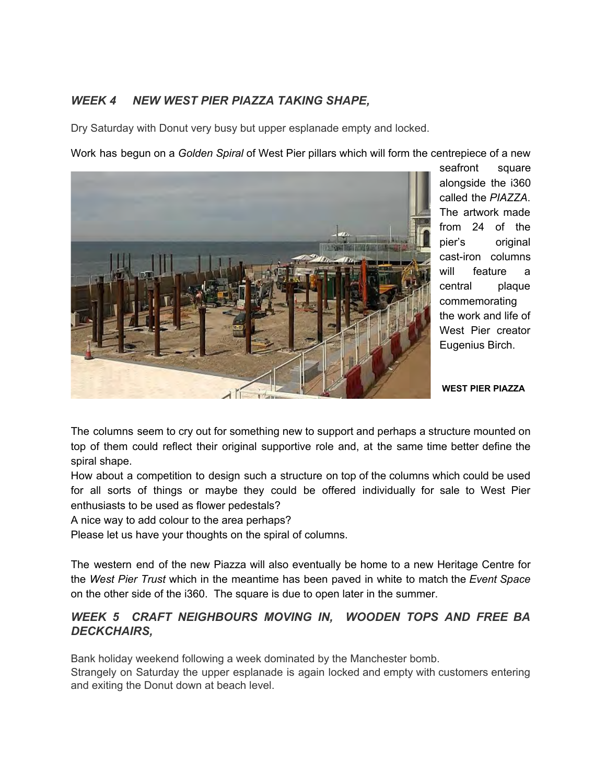## *WEEK 4 NEW WEST PIER PIAZZA TAKING SHAPE,*

Dry Saturday with Donut very busy but upper esplanade empty and locked.

Work has begun on a *Golden Spiral* of West Pier pillars which will form the centrepiece of a new



seafront square alongside the i360 called the *PIAZZA*. The artwork made from 24 of the pier's original cast-iron columns will feature a central plaque commemorating the work and life of West Pier creator Eugenius Birch.

 **WEST PIER PIAZZA** 

The columns seem to cry out for something new to support and perhaps a structure mounted on top of them could reflect their original supportive role and, at the same time better define the spiral shape.

How about a competition to design such a structure on top of the columns which could be used for all sorts of things or maybe they could be offered individually for sale to West Pier enthusiasts to be used as flower pedestals?

A nice way to add colour to the area perhaps?

Please let us have your thoughts on the spiral of columns.

The western end of the new Piazza will also eventually be home to a new Heritage Centre for the *West Pier Trust* which in the meantime has been paved in white to match the *Event Space*  on the other side of the i360. The square is due to open later in the summer.

## *WEEK 5 CRAFT NEIGHBOURS MOVING IN, WOODEN TOPS AND FREE BA DECKCHAIRS,*

Bank holiday weekend following a week dominated by the Manchester bomb.

Strangely on Saturday the upper esplanade is again locked and empty with customers entering and exiting the Donut down at beach level.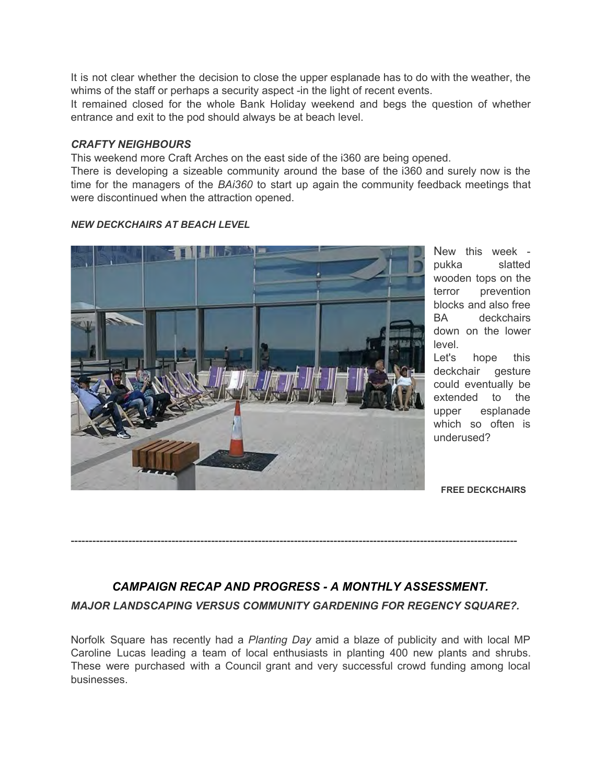It is not clear whether the decision to close the upper esplanade has to do with the weather, the whims of the staff or perhaps a security aspect -in the light of recent events.

It remained closed for the whole Bank Holiday weekend and begs the question of whether entrance and exit to the pod should always be at beach level.

## *CRAFTY NEIGHBOURS*

This weekend more Craft Arches on the east side of the i360 are being opened.

There is developing a sizeable community around the base of the i360 and surely now is the time for the managers of the *BAi360* to start up again the community feedback meetings that were discontinued when the attraction opened.

*NEW DECKCHAIRS AT BEACH LEVEL*

New this week pukka slatted wooden tops on the terror prevention blocks and also free<br>BA deckchairs deckchairs down on the lower level.

Let's hope this deckchair gesture could eventually be extended to the upper esplanade which so often is underused?

 **FREE DECKCHAIRS** 

# *CAMPAIGN RECAP AND PROGRESS - A MONTHLY ASSESSMENT. MAJOR LANDSCAPING VERSUS COMMUNITY GARDENING FOR REGENCY SQUARE?.*

----------------------------------------------------------------------------------------------------------------------------

Norfolk Square has recently had a *Planting Day* amid a blaze of publicity and with local MP Caroline Lucas leading a team of local enthusiasts in planting 400 new plants and shrubs. These were purchased with a Council grant and very successful crowd funding among local businesses.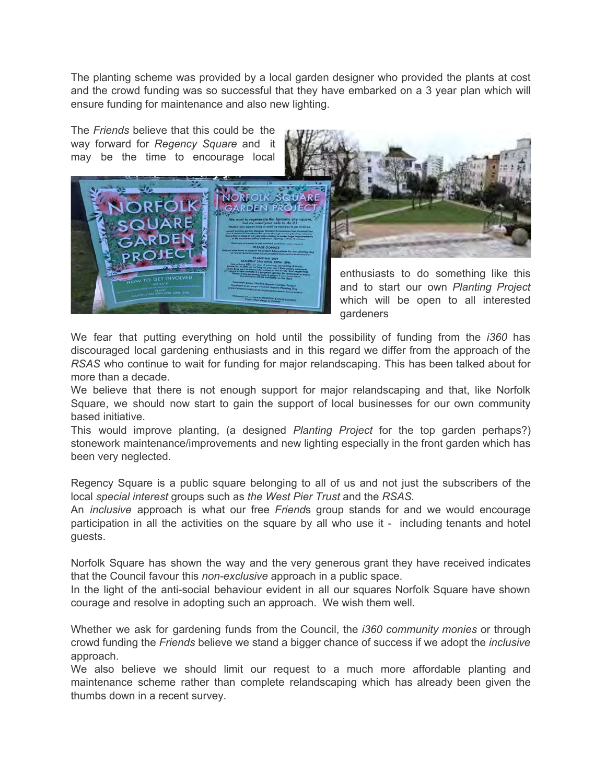The planting scheme was provided by a local garden designer who provided the plants at cost and the crowd funding was so successful that they have embarked on a 3 year plan which will ensure funding for maintenance and also new lighting.

The *Friends* believe that this could be the way forward for *Regency Square* and it may be the time to encourage local



gardeners

We fear that putting everything on hold until the possibility of funding from the *i360* has discouraged local gardening enthusiasts and in this regard we differ from the approach of the *RSAS* who continue to wait for funding for major relandscaping. This has been talked about for more than a decade.

We believe that there is not enough support for major relandscaping and that, like Norfolk Square, we should now start to gain the support of local businesses for our own community based initiative.

This would improve planting, (a designed *Planting Project* for the top garden perhaps?) stonework maintenance/improvements and new lighting especially in the front garden which has been very neglected.

Regency Square is a public square belonging to all of us and not just the subscribers of the local *special interest* groups such as *the West Pier Trust* and the *RSAS.* 

An *inclusive* approach is what our free *Friend*s group stands for and we would encourage participation in all the activities on the square by all who use it - including tenants and hotel guests.

Norfolk Square has shown the way and the very generous grant they have received indicates that the Council favour this *non-exclusive* approach in a public space.

In the light of the anti-social behaviour evident in all our squares Norfolk Square have shown courage and resolve in adopting such an approach. We wish them well.

Whether we ask for gardening funds from the Council, the *i360 community monies* or through crowd funding the *Friends* believe we stand a bigger chance of success if we adopt the *inclusive* approach.

We also believe we should limit our request to a much more affordable planting and maintenance scheme rather than complete relandscaping which has already been given the thumbs down in a recent survey.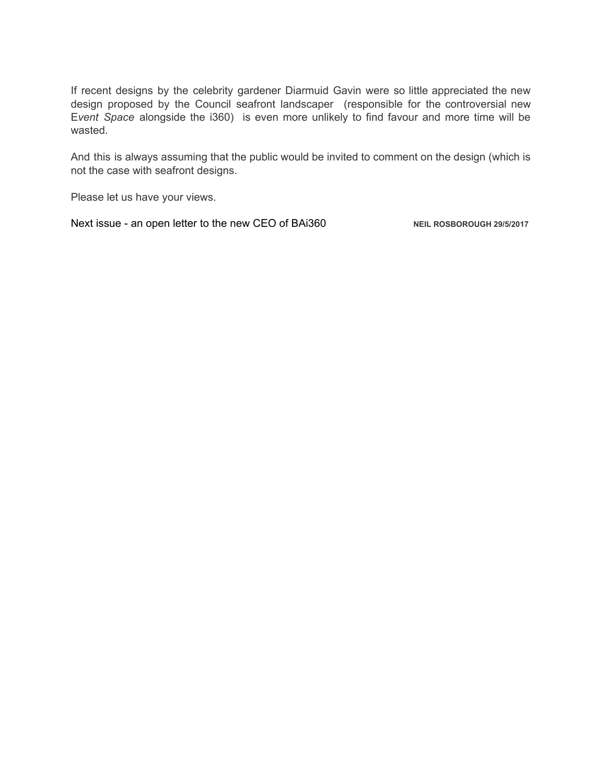If recent designs by the celebrity gardener Diarmuid Gavin were so little appreciated the new design proposed by the Council seafront landscaper (responsible for the controversial new E*vent Space* alongside the i360) is even more unlikely to find favour and more time will be wasted.

And this is always assuming that the public would be invited to comment on the design (which is not the case with seafront designs.

Please let us have your views.

Next issue - an open letter to the new CEO of BAi360 **NEIL ROSBOROUGH 29/5/2017**